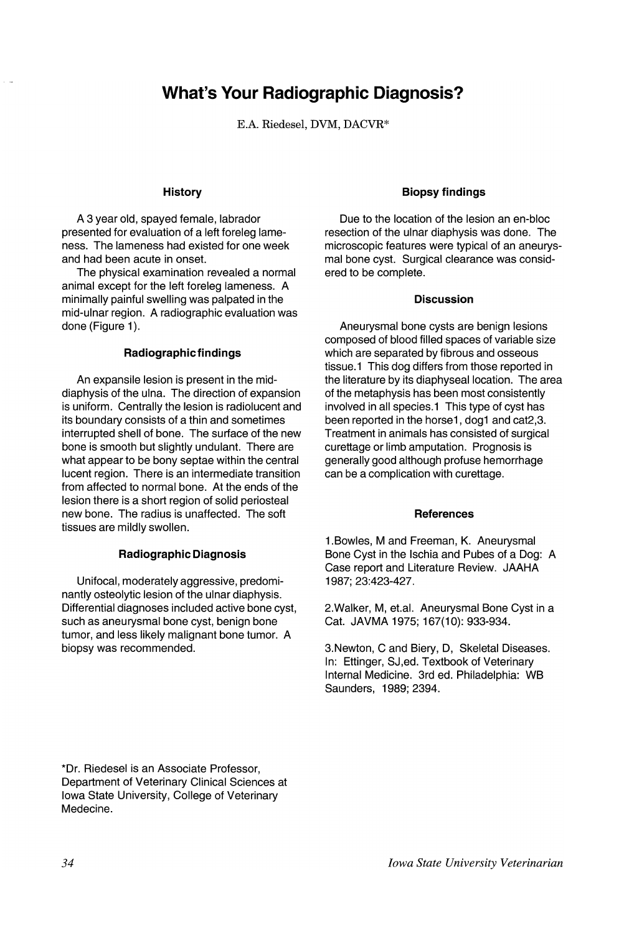# **What's Your Radiographic Diagnosis?**

E.A. Riedesel, DVM, DACVR\*

## **History**

A 3 year old, spayed female, labrador presented for evaluation of a left foreleg lameness. The lameness had existed for one week and had been acute in onset.

The physical examination revealed a normal animal except for the left foreleg lameness. A minimally painful swelling was palpated in the mid-ulnar region. A radiographic evaluation was done (Figure 1).

### **Radiographic findings**

An expansile lesion is present in the middiaphysis of the ulna. The direction of expansion is uniform. Centrally the lesion is radiolucent and its boundary consists of a thin and sometimes interrupted shell of bone. The surface of the new bone is smooth but slightly undulant. There are what appear to be bony septae within the central lucent region. There is an intermediate transition from affected to normal bone. At the ends of the lesion there is a short region of solid periosteal new bone. The radius is unaffected. The soft tissues are mildly swollen.

### **Radiographic Diagnosis**

Unifocal, moderately aggressive, predominantly osteolytic lesion of the ulnar diaphysis. Differential diagnoses included active bone cyst, such as aneurysmal bone cyst, benign bone tumor, and less likely malignant bone tumor. A biopsy was recommended.

## **Biopsy findings**

Due to the location of the lesion an en-bloc resection of the ulnar diaphysis was done. The microscopic features were typical of an aneurysmal bone cyst. Surgical clearance was considered to be complete.

#### **Discussion**

Aneurysmal bone cysts are benign lesions composed of blood filled spaces of variable size which are separated by fibrous and osseous tissue.1 This dog differs from those reported in the literature by its diaphyseal location. The area of the metaphysis has been most consistently involved in all species.1 This type of cyst has been reported in the horse1, dog1 and cat2,3. Treatment in animals has consisted of surgical curettage or limb amputation. Prognosis is generally good although profuse hemorrhage can be a complication with curettage.

### **References**

1.Bowles, M and Freeman, K. Aneurysmal Bone Cyst in the Ischia and Pubes of a Dog: A Case report and Literature Review. JAAHA 1987; 23:423-427.

2. Walker, M, et.al. Aneurysmal Bone Cyst in a Cat. JAVMA 1975; 167(10): 933-934.

3.Newton, C and Biery, D, Skeletal Diseases. In: Ettinger, SJ,ed. Textbook of Veterinary Internal Medicine. 3rd ed. Philadelphia: WB Saunders, 1989; 2394.

\*Dr. Riedesel is an Associate Professor, Department of Veterinary Clinical Sciences at Iowa State University, College of Veterinary Medecine.